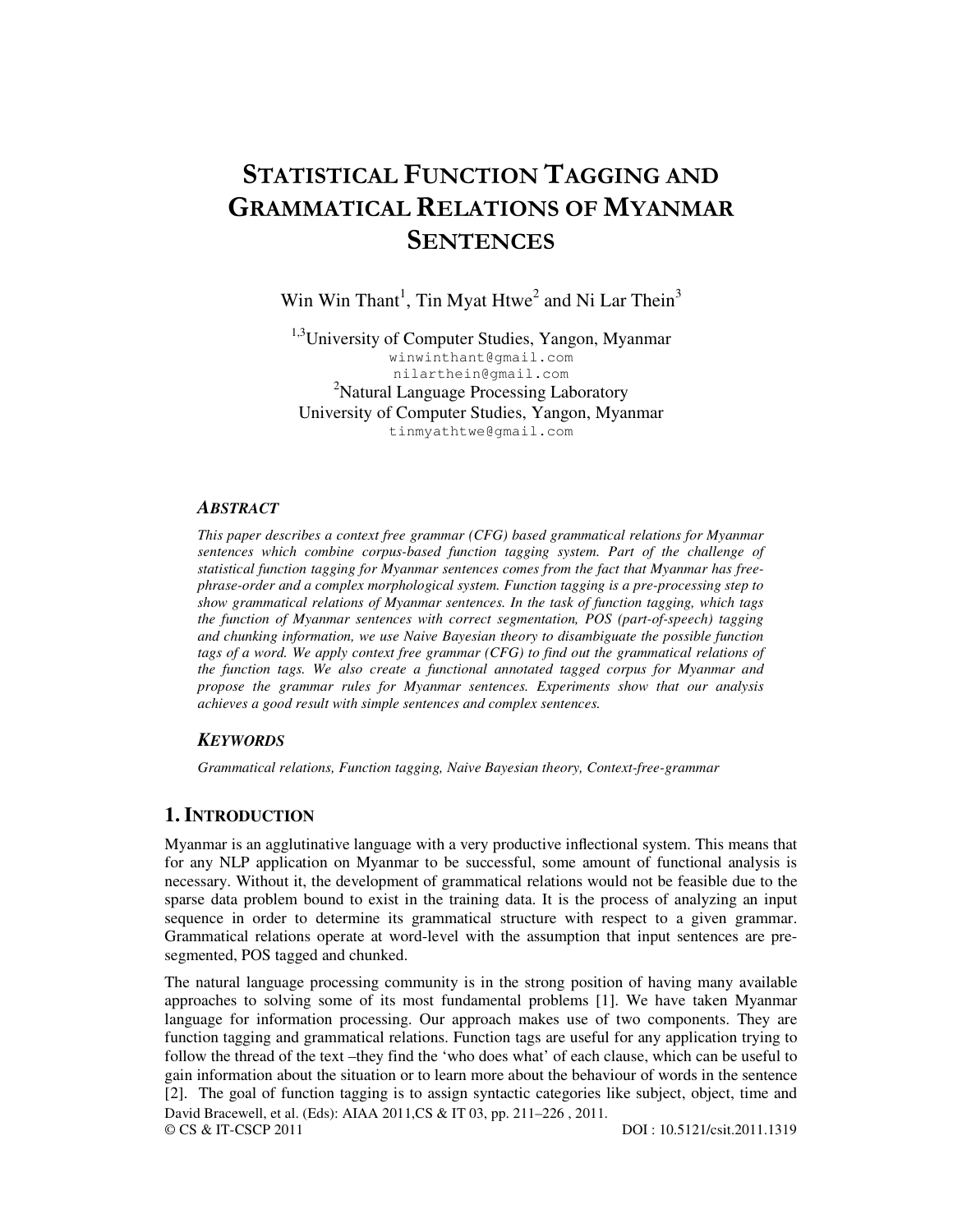# STATISTICAL FUNCTION TAGGING AND GRAMMATICAL RELATIONS OF MYANMAR **SENTENCES**

Win Win Thant<sup>1</sup>, Tin Myat Htwe<sup>2</sup> and Ni Lar Thein<sup>3</sup>

<sup>1,3</sup>University of Computer Studies, Yangon, Myanmar winwinthant@gmail.com nilarthein@gmail.com <sup>2</sup>Natural Language Processing Laboratory University of Computer Studies, Yangon, Myanmar tinmyathtwe@gmail.com

#### *ABSTRACT*

*This paper describes a context free grammar (CFG) based grammatical relations for Myanmar sentences which combine corpus-based function tagging system. Part of the challenge of statistical function tagging for Myanmar sentences comes from the fact that Myanmar has freephrase-order and a complex morphological system. Function tagging is a pre-processing step to show grammatical relations of Myanmar sentences. In the task of function tagging, which tags the function of Myanmar sentences with correct segmentation, POS (part-of-speech) tagging and chunking information, we use Naive Bayesian theory to disambiguate the possible function tags of a word. We apply context free grammar (CFG) to find out the grammatical relations of the function tags. We also create a functional annotated tagged corpus for Myanmar and propose the grammar rules for Myanmar sentences. Experiments show that our analysis achieves a good result with simple sentences and complex sentences.* 

#### *KEYWORDS*

*Grammatical relations, Function tagging, Naive Bayesian theory, Context-free-grammar* 

## **1. INTRODUCTION**

Myanmar is an agglutinative language with a very productive inflectional system. This means that for any NLP application on Myanmar to be successful, some amount of functional analysis is necessary. Without it, the development of grammatical relations would not be feasible due to the sparse data problem bound to exist in the training data. It is the process of analyzing an input sequence in order to determine its grammatical structure with respect to a given grammar. Grammatical relations operate at word-level with the assumption that input sentences are presegmented, POS tagged and chunked.

David Bracewell, et al. (Eds): AIAA 2011,CS & IT 03, pp. 211–226, 2011.<br>© CS & IT-CSCP 2011 © CS & IT-CSCP 2011 DOI : 10.5121/csit.2011.1319 The natural language processing community is in the strong position of having many available approaches to solving some of its most fundamental problems [1]. We have taken Myanmar language for information processing. Our approach makes use of two components. They are function tagging and grammatical relations. Function tags are useful for any application trying to follow the thread of the text –they find the 'who does what' of each clause, which can be useful to gain information about the situation or to learn more about the behaviour of words in the sentence [2]. The goal of function tagging is to assign syntactic categories like subject, object, time and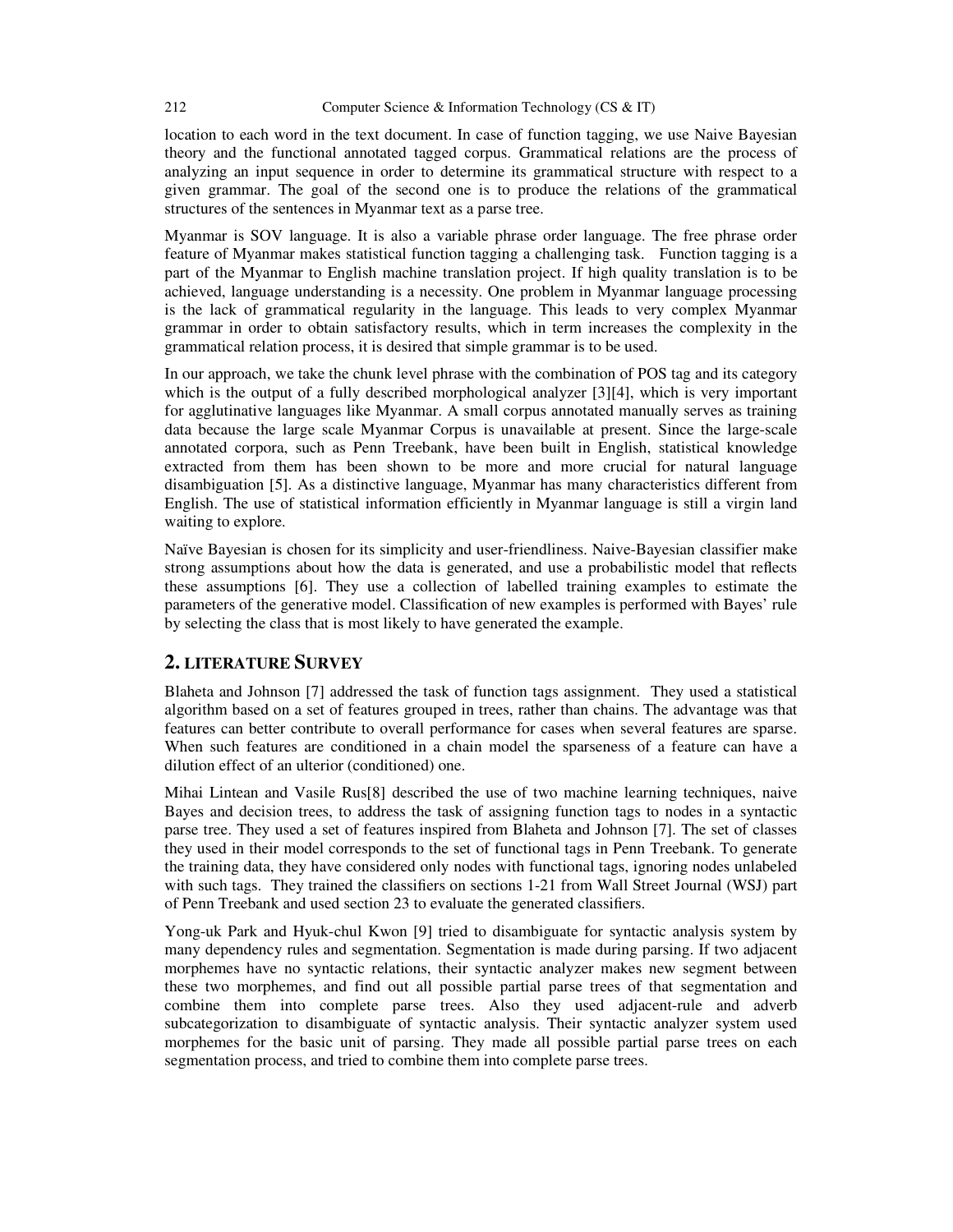location to each word in the text document. In case of function tagging, we use Naive Bayesian theory and the functional annotated tagged corpus. Grammatical relations are the process of analyzing an input sequence in order to determine its grammatical structure with respect to a given grammar. The goal of the second one is to produce the relations of the grammatical structures of the sentences in Myanmar text as a parse tree.

Myanmar is SOV language. It is also a variable phrase order language. The free phrase order feature of Myanmar makes statistical function tagging a challenging task. Function tagging is a part of the Myanmar to English machine translation project. If high quality translation is to be achieved, language understanding is a necessity. One problem in Myanmar language processing is the lack of grammatical regularity in the language. This leads to very complex Myanmar grammar in order to obtain satisfactory results, which in term increases the complexity in the grammatical relation process, it is desired that simple grammar is to be used.

In our approach, we take the chunk level phrase with the combination of POS tag and its category which is the output of a fully described morphological analyzer [3][4], which is very important for agglutinative languages like Myanmar. A small corpus annotated manually serves as training data because the large scale Myanmar Corpus is unavailable at present. Since the large-scale annotated corpora, such as Penn Treebank, have been built in English, statistical knowledge extracted from them has been shown to be more and more crucial for natural language disambiguation [5]. As a distinctive language, Myanmar has many characteristics different from English. The use of statistical information efficiently in Myanmar language is still a virgin land waiting to explore.

Naïve Bayesian is chosen for its simplicity and user-friendliness. Naive-Bayesian classifier make strong assumptions about how the data is generated, and use a probabilistic model that reflects these assumptions [6]. They use a collection of labelled training examples to estimate the parameters of the generative model. Classification of new examples is performed with Bayes' rule by selecting the class that is most likely to have generated the example.

## **2. LITERATURE SURVEY**

Blaheta and Johnson [7] addressed the task of function tags assignment. They used a statistical algorithm based on a set of features grouped in trees, rather than chains. The advantage was that features can better contribute to overall performance for cases when several features are sparse. When such features are conditioned in a chain model the sparseness of a feature can have a dilution effect of an ulterior (conditioned) one.

Mihai Lintean and Vasile Rus[8] described the use of two machine learning techniques, naive Bayes and decision trees, to address the task of assigning function tags to nodes in a syntactic parse tree. They used a set of features inspired from Blaheta and Johnson [7]. The set of classes they used in their model corresponds to the set of functional tags in Penn Treebank. To generate the training data, they have considered only nodes with functional tags, ignoring nodes unlabeled with such tags. They trained the classifiers on sections 1-21 from Wall Street Journal (WSJ) part of Penn Treebank and used section 23 to evaluate the generated classifiers.

Yong-uk Park and Hyuk-chul Kwon [9] tried to disambiguate for syntactic analysis system by many dependency rules and segmentation. Segmentation is made during parsing. If two adjacent morphemes have no syntactic relations, their syntactic analyzer makes new segment between these two morphemes, and find out all possible partial parse trees of that segmentation and combine them into complete parse trees. Also they used adjacent-rule and adverb subcategorization to disambiguate of syntactic analysis. Their syntactic analyzer system used morphemes for the basic unit of parsing. They made all possible partial parse trees on each segmentation process, and tried to combine them into complete parse trees.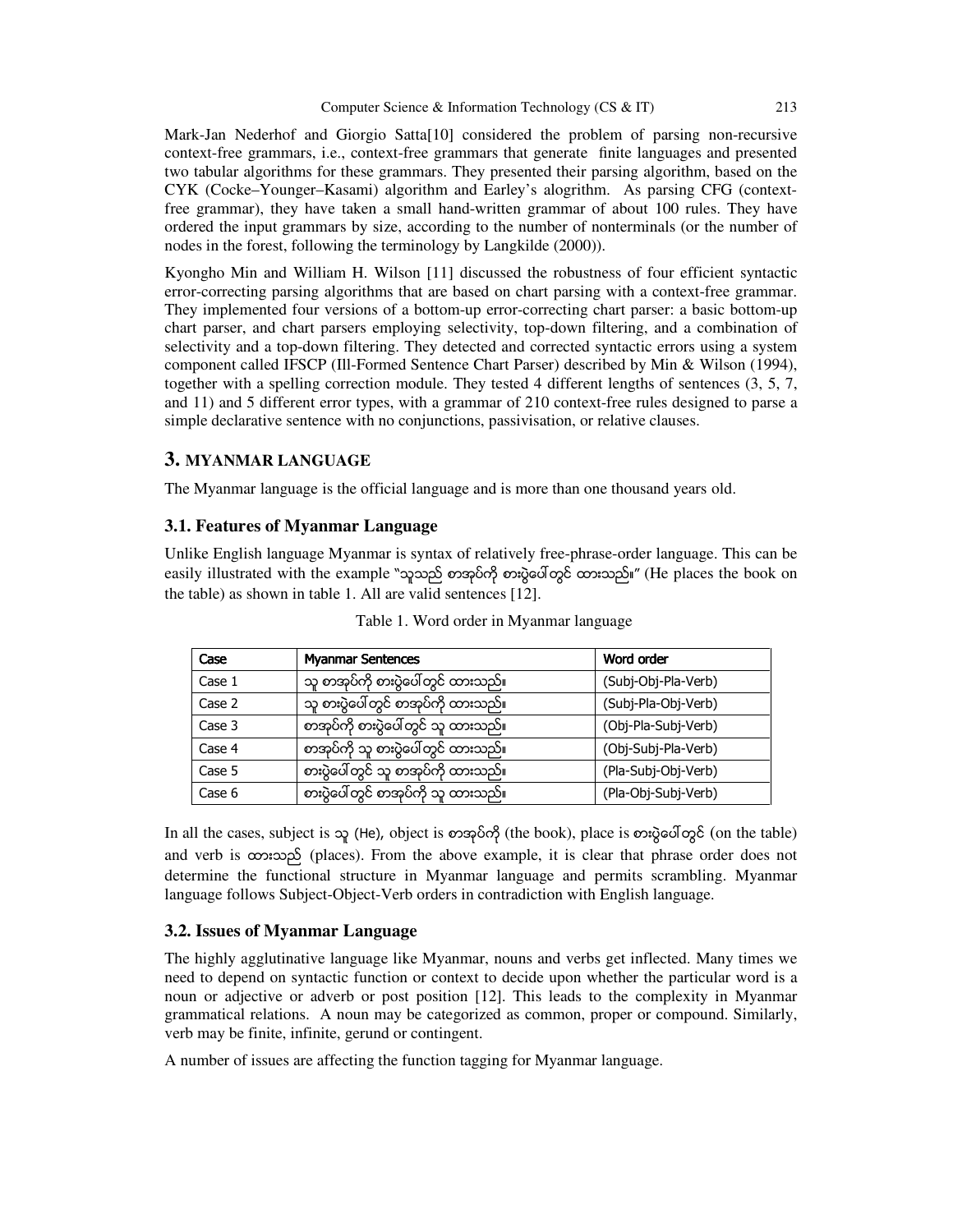Mark-Jan Nederhof and Giorgio Satta[10] considered the problem of parsing non-recursive context-free grammars, i.e., context-free grammars that generate finite languages and presented two tabular algorithms for these grammars. They presented their parsing algorithm, based on the CYK (Cocke–Younger–Kasami) algorithm and Earley's alogrithm. As parsing CFG (contextfree grammar), they have taken a small hand-written grammar of about 100 rules. They have ordered the input grammars by size, according to the number of nonterminals (or the number of nodes in the forest, following the terminology by Langkilde (2000)).

Kyongho Min and William H. Wilson [11] discussed the robustness of four efficient syntactic error-correcting parsing algorithms that are based on chart parsing with a context-free grammar. They implemented four versions of a bottom-up error-correcting chart parser: a basic bottom-up chart parser, and chart parsers employing selectivity, top-down filtering, and a combination of selectivity and a top-down filtering. They detected and corrected syntactic errors using a system component called IFSCP (Ill-Formed Sentence Chart Parser) described by Min & Wilson (1994), together with a spelling correction module. They tested 4 different lengths of sentences (3, 5, 7, and 11) and 5 different error types, with a grammar of 210 context-free rules designed to parse a simple declarative sentence with no conjunctions, passivisation, or relative clauses.

## **3. MYANMAR LANGUAGE**

The Myanmar language is the official language and is more than one thousand years old.

## **3.1. Features of Myanmar Language**

Unlike English language Myanmar is syntax of relatively free-phrase-order language. This can be easily illustrated with the example "သူသည် စာအုပ်ကို စားပွဲပေါ်တွင် ထားသည်။" (He places the book on the table) as shown in table 1. All are valid sentences [12].

| Case   | <b>Myanmar Sentences</b>            | Word order          |
|--------|-------------------------------------|---------------------|
| Case 1 | သူ စာအုပ်ကို စားပွဲပေါ်တွင် ထားသည်။ | (Subj-Obj-Pla-Verb) |
| Case 2 | သူ စားပွဲပေါ်တွင် စာအုပ်ကို ထားသည်။ | (Subj-Pla-Obj-Verb) |
| Case 3 | စာအုပ်ကို စားပွဲပေါ်တွင် သူ ထားသည်။ | (Obj-Pla-Subj-Verb) |
| Case 4 | စာအုပ်ကို သူ စားပွဲပေါ်တွင် ထားသည်။ | (Obj-Subj-Pla-Verb) |
| Case 5 | စားပွဲပေါ်တွင် သူ စာအုပ်ကို ထားသည်။ | (Pla-Subj-Obj-Verb) |
| Case 6 | စားပွဲပေါ်တွင် စာအုပ်ကို သူ ထားသည်။ | (Pla-Obj-Subj-Verb) |

Table 1. Word order in Myanmar language

In all the cases, subject is သူ (He), object is စာအုပ်ကို (the book), place is စားပွဲပေါ်တွင် (on the table) and verb is  $\infty$ းသည် (places). From the above example, it is clear that phrase order does not determine the functional structure in Myanmar language and permits scrambling. Myanmar language follows Subject-Object-Verb orders in contradiction with English language.

## **3.2. Issues of Myanmar Language**

The highly agglutinative language like Myanmar, nouns and verbs get inflected. Many times we need to depend on syntactic function or context to decide upon whether the particular word is a noun or adjective or adverb or post position [12]. This leads to the complexity in Myanmar grammatical relations. A noun may be categorized as common, proper or compound. Similarly, verb may be finite, infinite, gerund or contingent.

A number of issues are affecting the function tagging for Myanmar language.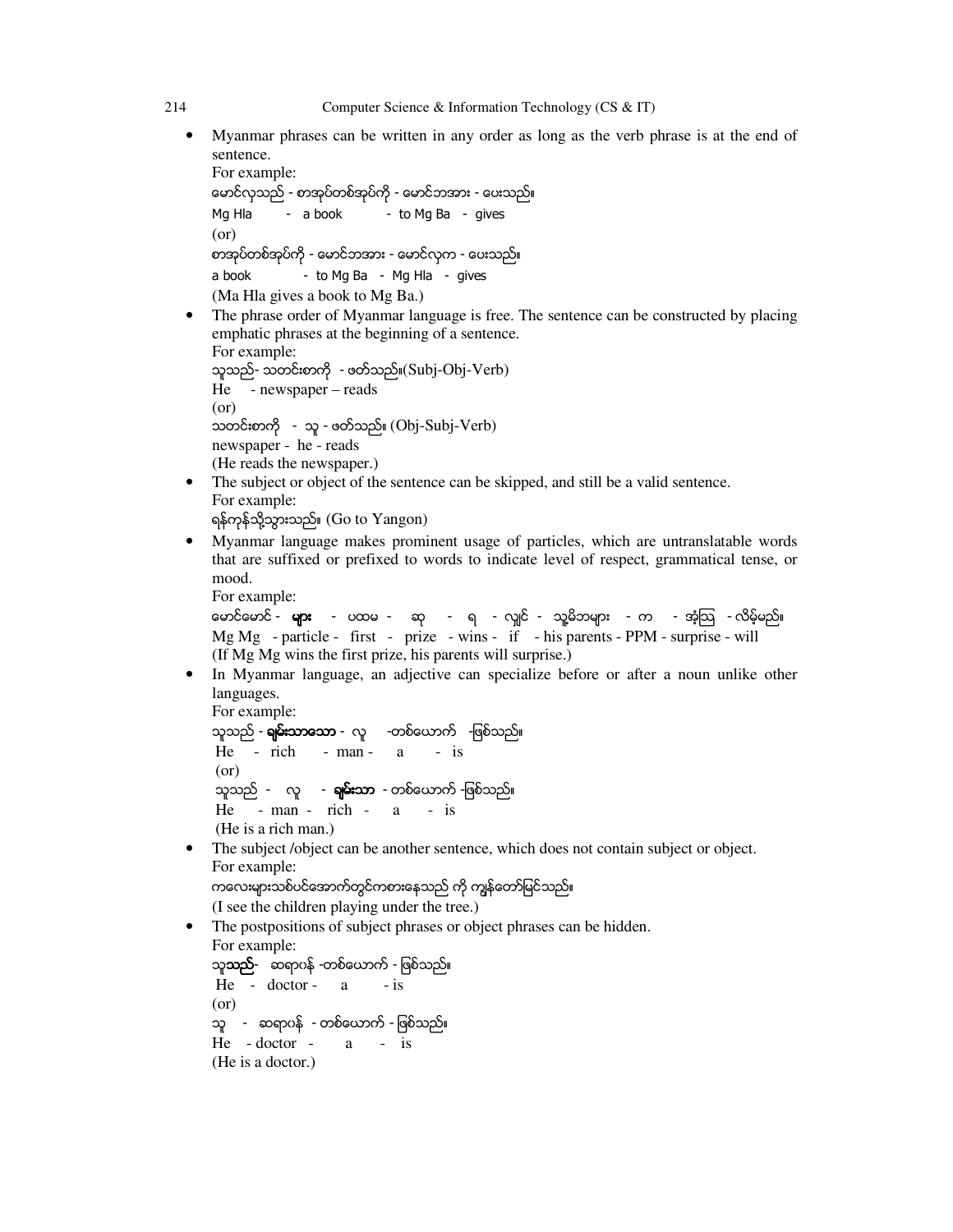• Myanmar phrases can be written in any order as long as the verb phrase is at the end of sentence.

```
For example: 
ေမာင္လွသည္ - စာအုပ္တစ္အုပ္ကို - ေမာင္ဘအား - ေပးသည္။ 
Mg Hla - a book - to Mg Ba - gives
(or) 
စာအုပ္တစ္အုပ္ကို - ေမာင္ဘအား - ေမာင္လွက - ေပးသည္။ 
a book - to Mg Ba - Mg Hla - gives
(Ma Hla gives a book to Mg Ba.)
```
The phrase order of Myanmar language is free. The sentence can be constructed by placing emphatic phrases at the beginning of a sentence.

```
For example: 
သူသည္- သတင္းစာကို - ဖတ္သည္။(Subj-Obj-Verb) 
He - newspaper – reads 
(or) 
သတင္းစာကို - သူ - ဖတ္သည္။ (Obj-Subj-Verb) 
newspaper - he - reads 
(He reads the newspaper.)
```
- The subject or object of the sentence can be skipped, and still be a valid sentence. For example: ရန္ကုန္သို႔သြားသည္။ (Go to Yangon)
- Myanmar language makes prominent usage of particles, which are untranslatable words that are suffixed or prefixed to words to indicate level of respect, grammatical tense, or mood.

```
For example:
```
မောင်မောင် - များ - ပထမ - ဆု - ရ - လျှင် - သူ့မိဘများ - က - အံ့သြ - လိမ့်မည်။ Mg Mg - particle - first - prize - wins - if - his parents - PPM - surprise - will (If Mg Mg wins the first prize, his parents will surprise.)

• In Myanmar language, an adjective can specialize before or after a noun unlike other languages.

```
For example: 
သူသည် - ရမ်းသာသော - လူ - -တစ်ယောက် -ဖြစ်သည်။
He - rich - man - a - is
(or) 
သူသည် - လူ - ရှမ်းသာ - တစ်ယောက် -ဖြစ်သည်။
He - man - rich - a - is 
(He is a rich man.)
```
• The subject *(object can be another sentence, which does not contain subject or object.* For example:

```
ကလေးများသစ်ပင်အောက်တွင်ကစားနေသည် ကို ကျွန်တော်မြင်သည်။
```
(I see the children playing under the tree.)

• The postpositions of subject phrases or object phrases can be hidden. For example: သူ**သည်**- ဆရာဂန် -တစ်ယောက် - ဖြစ်သည်။ He - doctor - a - is

```
(or) 
သူ - ဆရာ၀န္ - တစ္ေယာက္ - ျဖစ္သည္။ 
He - doctor - a - is 
(He is a doctor.)
```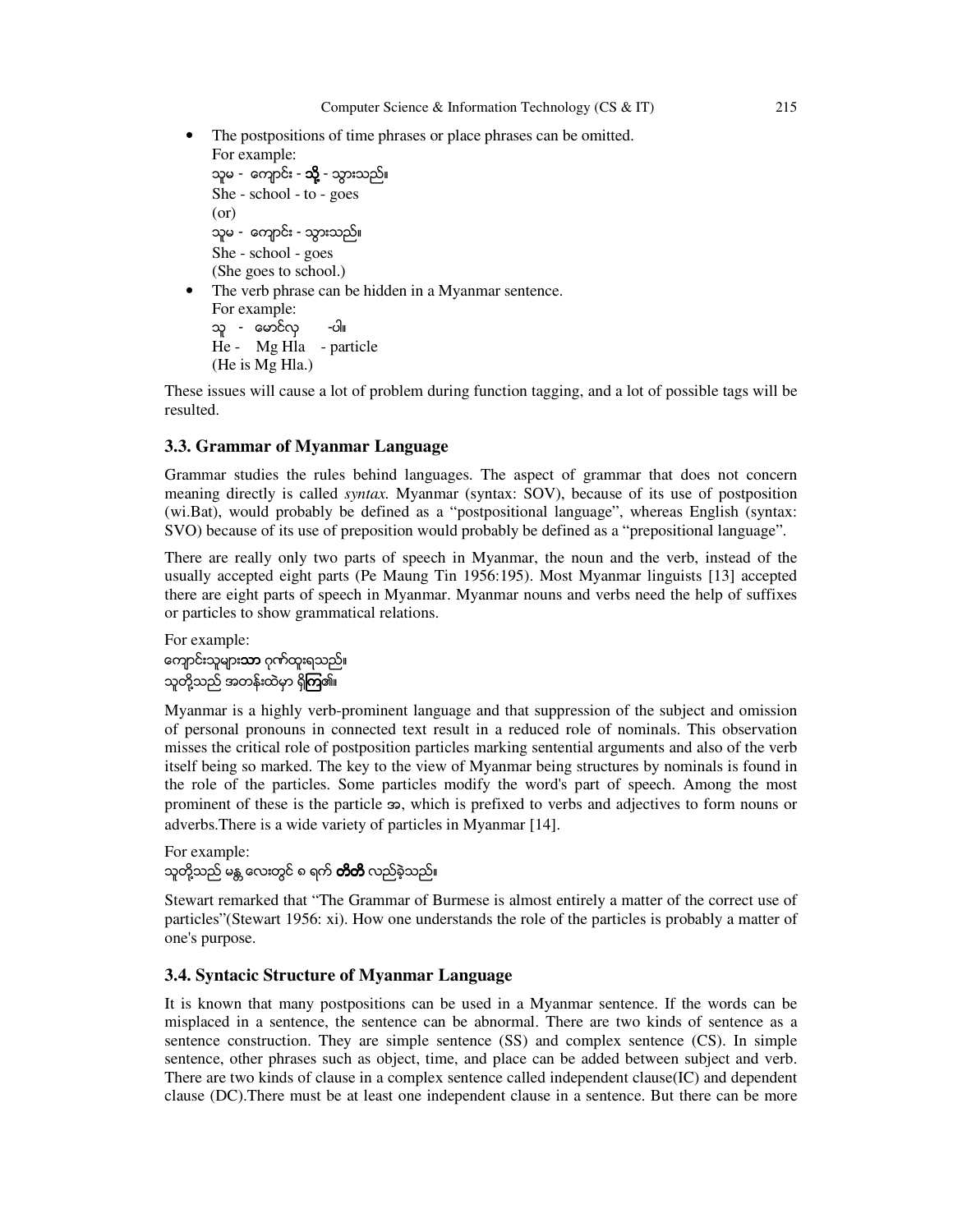The postpositions of time phrases or place phrases can be omitted. For example:

```
သူမ -  ကျောင်း - သို့ - သွားသည်။
She - school - to - goes 
(or) 
သူမ - ကျောင်း - သွားသည်။
She - school - goes 
(She goes to school.) 
The verb phrase can be hidden in a Myanmar sentence.
```
For example: သူ - ေမာင္လွ -ပါ။ He - Mg Hla - particle (He is Mg Hla.)

These issues will cause a lot of problem during function tagging, and a lot of possible tags will be resulted.

#### **3.3. Grammar of Myanmar Language**

Grammar studies the rules behind languages. The aspect of grammar that does not concern meaning directly is called *syntax.* Myanmar (syntax: SOV), because of its use of postposition (wi.Bat), would probably be defined as a "postpositional language", whereas English (syntax: SVO) because of its use of preposition would probably be defined as a "prepositional language".

There are really only two parts of speech in Myanmar, the noun and the verb, instead of the usually accepted eight parts (Pe Maung Tin 1956:195). Most Myanmar linguists [13] accepted there are eight parts of speech in Myanmar. Myanmar nouns and verbs need the help of suffixes or particles to show grammatical relations.

For example: ကျောင်းသူများ**သာ** ဂုဏ်ထူးရသည်။ သူတို့သည် အတန်းထဲမှာ ရှိ<mark>ကြ</mark>၏။

Myanmar is a highly verb-prominent language and that suppression of the subject and omission of personal pronouns in connected text result in a reduced role of nominals. This observation misses the critical role of postposition particles marking sentential arguments and also of the verb itself being so marked. The key to the view of Myanmar being structures by nominals is found in the role of the particles. Some particles modify the word's part of speech. Among the most prominent of these is the particle အ, which is prefixed to verbs and adjectives to form nouns or adverbs.There is a wide variety of particles in Myanmar [14].

For example: သူတို့သည် မန္က လေးတွင် ၈ ရက် **တိတိ** လည်ခဲ့သည်။

Stewart remarked that "The Grammar of Burmese is almost entirely a matter of the correct use of particles"(Stewart 1956: xi). How one understands the role of the particles is probably a matter of one's purpose.

#### **3.4. Syntacic Structure of Myanmar Language**

It is known that many postpositions can be used in a Myanmar sentence. If the words can be misplaced in a sentence, the sentence can be abnormal. There are two kinds of sentence as a sentence construction. They are simple sentence (SS) and complex sentence (CS). In simple sentence, other phrases such as object, time, and place can be added between subject and verb. There are two kinds of clause in a complex sentence called independent clause(IC) and dependent clause (DC).There must be at least one independent clause in a sentence. But there can be more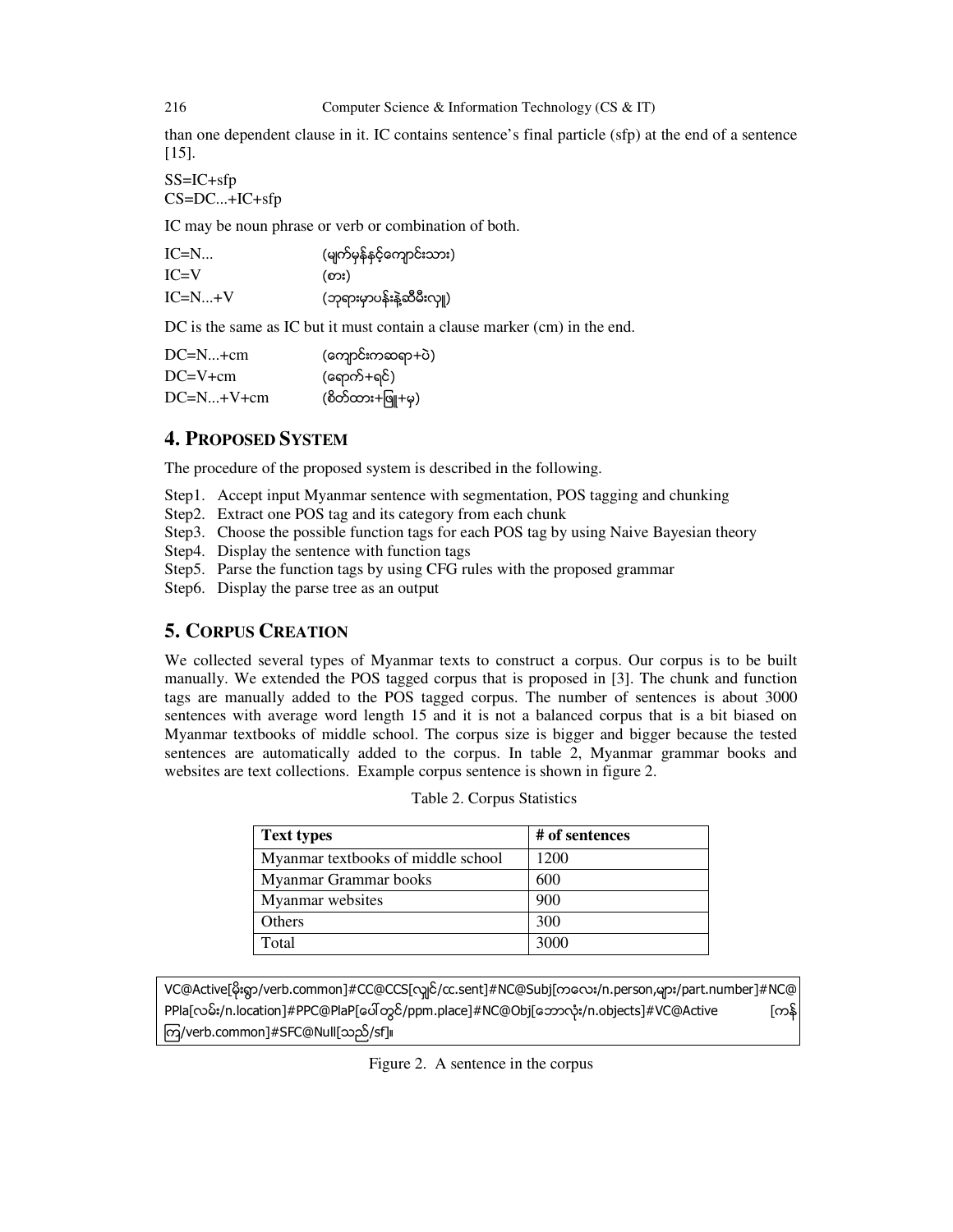than one dependent clause in it. IC contains sentence's final particle (sfp) at the end of a sentence [15].

SS=IC+sfp CS=DC...+IC+sfp

IC may be noun phrase or verb or combination of both.

| $IC=N$   | (မျက်မှန်နှင့်ကျောင်းသား) |
|----------|---------------------------|
| $IC=V$   | (စား)                     |
| $IC=N+V$ | (ဘုရားမှာပန်းနဲ့ဆီမီးလှူ) |

DC is the same as IC but it must contain a clause marker (cm) in the end.

| $DC=N+cm$   | (ကျောင်းကဆရာ+ပဲ) |
|-------------|------------------|
| $DC=V+cm$   | (ရောက်+ရင်)      |
| $DC=N+V+cm$ | (စိတ်ထား+ဖြူ+မှ) |

# **4. PROPOSED SYSTEM**

The procedure of the proposed system is described in the following.

- Step1. Accept input Myanmar sentence with segmentation, POS tagging and chunking
- Step2. Extract one POS tag and its category from each chunk
- Step3. Choose the possible function tags for each POS tag by using Naive Bayesian theory
- Step4. Display the sentence with function tags
- Step5. Parse the function tags by using CFG rules with the proposed grammar
- Step6. Display the parse tree as an output

# **5. CORPUS CREATION**

We collected several types of Myanmar texts to construct a corpus. Our corpus is to be built manually. We extended the POS tagged corpus that is proposed in [3]. The chunk and function tags are manually added to the POS tagged corpus. The number of sentences is about 3000 sentences with average word length 15 and it is not a balanced corpus that is a bit biased on Myanmar textbooks of middle school. The corpus size is bigger and bigger because the tested sentences are automatically added to the corpus. In table 2, Myanmar grammar books and websites are text collections. Example corpus sentence is shown in figure 2.

| <b>Text types</b>                  | # of sentences |
|------------------------------------|----------------|
| Myanmar textbooks of middle school | 1200           |
| Myanmar Grammar books              | 600            |
| Myanmar websites                   | 900            |
| <b>Others</b>                      | 300            |
| Total                              | 3000           |

Table 2. Corpus Statistics

VC@Active[မိုးရွာ/verb.common]#CC@CCS[လျှင်/cc.sent]#NC@Subj[ကလေး/n.person,များ/part.number]#NC@ PPla[လမ်း/n.location]#PPC@PlaP[ပေါ် တွင်/ppm.place]#NC@Obj[ဘောလုံး/n.objects]#VC@Active [ကန် ၾက/verb.common]#SFC@Null[သည္/sf]။

Figure 2. A sentence in the corpus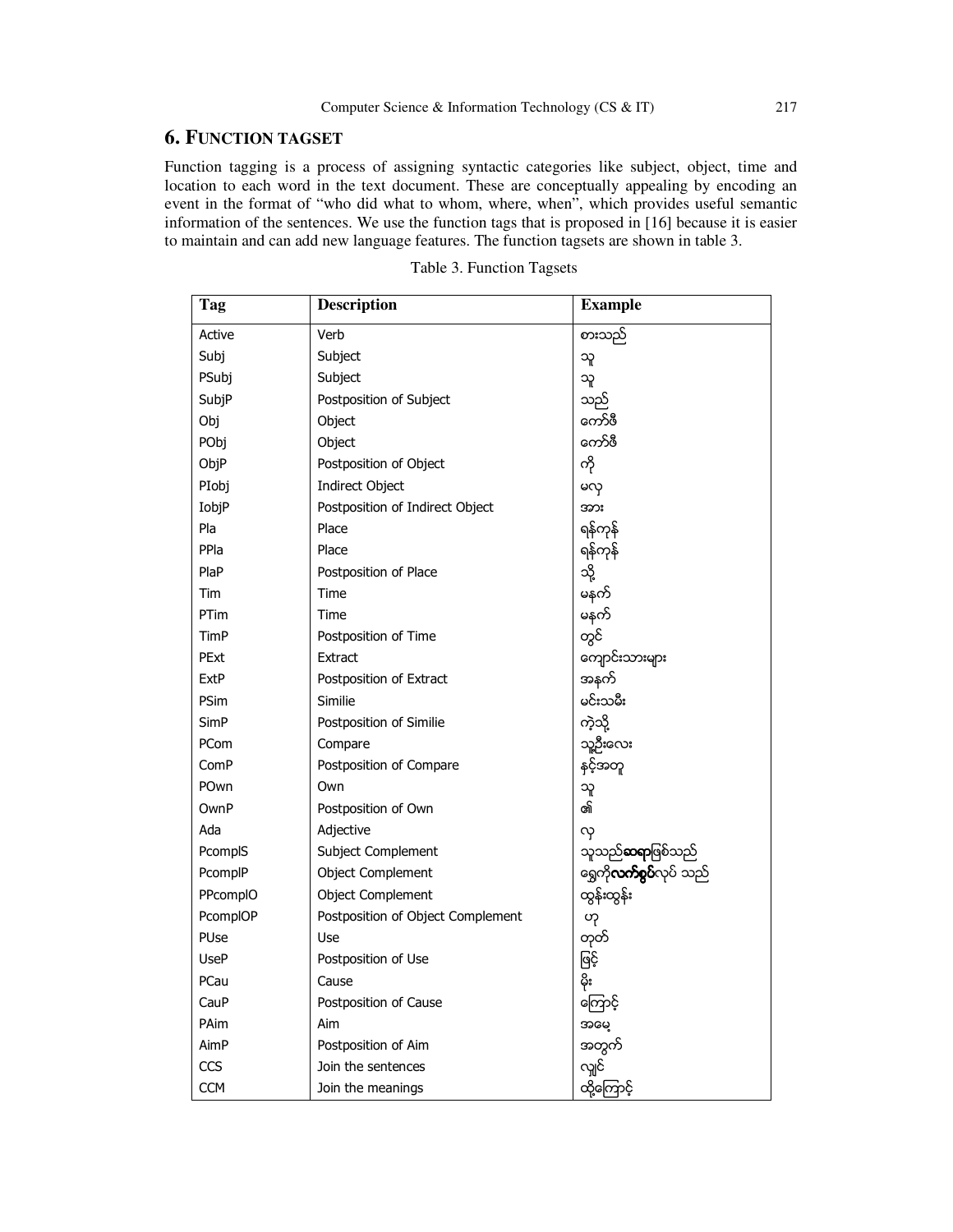## **6. FUNCTION TAGSET**

Function tagging is a process of assigning syntactic categories like subject, object, time and location to each word in the text document. These are conceptually appealing by encoding an event in the format of "who did what to whom, where, when", which provides useful semantic information of the sentences. We use the function tags that is proposed in [16] because it is easier to maintain and can add new language features. The function tagsets are shown in table 3.

| Tag        | Description                       | <b>Example</b>                  |
|------------|-----------------------------------|---------------------------------|
| Active     | Verb                              | စားသည်                          |
| Subj       | Subject                           | သူ                              |
| PSubj      | Subject                           | သူ                              |
| SubjP      | Postposition of Subject           | သည်                             |
| Obj        | Object                            | ကော်ဖီ                          |
| PObj       | Object                            | ကော်ဖီ                          |
| ObjP       | Postposition of Object            | ကို                             |
| PIobj      | Indirect Object                   | မလု                             |
| IobjP      | Postposition of Indirect Object   | အား                             |
| Pla        | Place                             | ရန်ကုန်                         |
| PPla       | Place                             | ရန်ကုန်                         |
| PlaP       | Postposition of Place             | သို့                            |
| Tim        | Time                              | မနက်                            |
| PTim       | Time                              | မနက်                            |
| TimP       | Postposition of Time              | တွင်                            |
| PExt       | Extract                           | ကျောင်းသားများ                  |
| ExtP       | Postposition of Extract           | အနက်                            |
| PSim       | Similie                           | မင်းသမီး                        |
| SimP       | Postposition of Similie           | ကဲ့သို့                         |
| PCom       | Compare                           | သူ့ဦးလေး                        |
| ComP       | Postposition of Compare           | နင့်အတူ                         |
| POwn       | Own                               | သူ                              |
| OwnP       | Postposition of Own               | ၏                               |
| Ada        | Adjective                         | လု                              |
| PcomplS    | Subject Complement                | သူသည် <b>ဆရာ</b> ဖြစ်သည်        |
| PcomplP    | Object Complement                 | ရွှေကို <b>လက်စွပ်</b> လုပ် သည် |
| PPcomplO   | <b>Object Complement</b>          | ထွန်းထွန်း                      |
| PcomplOP   | Postposition of Object Complement | ၯ                               |
| PUse       | Use                               | တုတ်                            |
| UseP       | Postposition of Use               | ဖြင့်                           |
| PCau       | Cause                             | မိုး                            |
| CauP       | Postposition of Cause             | ကြောင့်                         |
| PAim       | Aim                               | အဖေ့                            |
| AimP       | Postposition of Aim               | အတွက်                           |
| CCS        | Join the sentences                | လျှင်                           |
| <b>CCM</b> | Join the meanings                 | ထို့ကြောင့်                     |

|  | Table 3. Function Tagsets |  |
|--|---------------------------|--|
|--|---------------------------|--|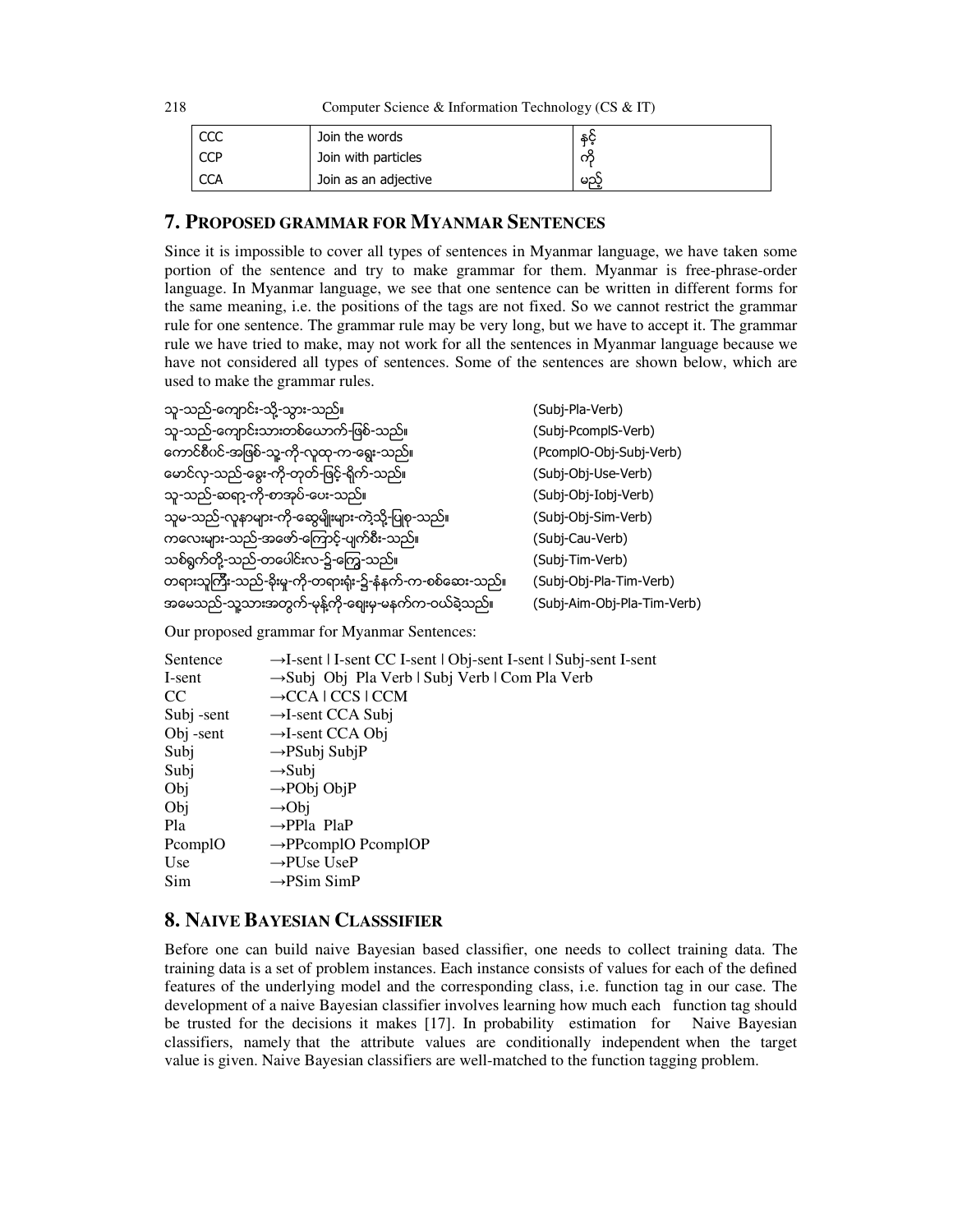| CCC        | Join the words       | နှင့် |
|------------|----------------------|-------|
| <b>CCP</b> | Join with particles  | ကိ    |
| <b>CCA</b> | Join as an adjective | မည္   |

## **7. PROPOSED GRAMMAR FOR MYANMAR SENTENCES**

Since it is impossible to cover all types of sentences in Myanmar language, we have taken some portion of the sentence and try to make grammar for them. Myanmar is free-phrase-order language. In Myanmar language, we see that one sentence can be written in different forms for the same meaning, i.e. the positions of the tags are not fixed. So we cannot restrict the grammar rule for one sentence. The grammar rule may be very long, but we have to accept it. The grammar rule we have tried to make, may not work for all the sentences in Myanmar language because we have not considered all types of sentences. Some of the sentences are shown below, which are used to make the grammar rules.

| သူ-သည်-ကျောင်း-သို့-သွား-သည်။                             | (Subj-Pla-Verb)             |
|-----------------------------------------------------------|-----------------------------|
| သူ-သည်-ကျောင်းသားတစ်ယောက်-ဖြစ်-သည်။                       | (Subj-PcomplS-Verb)         |
| ကောင်စီပင်-အဖြစ်-သူ့-ကို-လူထု-က-ရွေး-သည်။                 | (PcomplO-Obj-Subj-Verb)     |
| မောင်လု-သည်-ဓွေး-ကို-တုတ်-ဖြင့်-ရိုက်-သည်။                | (Subj-Obj-Use-Verb)         |
| သူ-သည်-ဆရာ့-ကို-စာအုပ်-ပေး-သည်။                           | (Subj-Obj-Iobj-Verb)        |
| သူမ-သည်-လူနာများ-ကို-ဆွေမျိုးများ-ကဲ့သို့-ပြုစု-သည်။      | (Subj-Obj-Sim-Verb)         |
| ကလေးများ-သည်-အဖော်-ကြောင့်-ပျက်စီး-သည်။                   | (Subj-Cau-Verb)             |
| သစ်ရွက်တို့-သည်-တပေါင်းလ-၌-ကြွေ-သည်။                      | (Subj-Tim-Verb)             |
| တရားသူကြီး-သည်-ခိုးမှု-ကို-တရားရုံး-၌-နံနက်-က-စစ်ဆေး-သည်။ | (Subj-Obj-Pla-Tim-Verb)     |
| အမေသည်-သူ့သားအတွက်-မုန့်ကို-ဈေးမှ-မနက်က-ဝယ်ခဲ့သည်။        | (Subj-Aim-Obj-Pla-Tim-Verb) |

Our proposed grammar for Myanmar Sentences:

| Sentence      | →I-sent   I-sent CC I-sent   Obj-sent I-sent   Subj-sent I-sent |
|---------------|-----------------------------------------------------------------|
| I-sent        | →Subj Obj Pla Verb   Subj Verb   Com Pla Verb                   |
| <sub>CC</sub> | $\rightarrow$ CCA   CCS   CCM                                   |
| Subj -sent    | $\rightarrow$ I-sent CCA Subj                                   |
| Obj -sent     | $\rightarrow$ I-sent CCA Obj                                    |
| Subj          | $\rightarrow$ PSubj SubjP                                       |
| Subj          | $\rightarrow$ Subj                                              |
| Obj           | $\rightarrow$ PObj ObjP                                         |
| Obj           | $\rightarrow$ Obj                                               |
| Pla           | $\rightarrow$ PPla PlaP                                         |
| PcomplO       | $\rightarrow$ PPcomplO PcomplOP                                 |
| Use           | $\rightarrow$ PUse UseP                                         |
| Sim           | $\rightarrow$ PSim SimP                                         |

## **8. NAIVE BAYESIAN CLASSSIFIER**

Before one can build naive Bayesian based classifier, one needs to collect training data. The training data is a set of problem instances. Each instance consists of values for each of the defined features of the underlying model and the corresponding class, i.e. function tag in our case. The development of a naive Bayesian classifier involves learning how much each function tag should be trusted for the decisions it makes [17]. In probability estimation for Naive Bayesian classifiers, namely that the attribute values are conditionally independent when the target value is given. Naive Bayesian classifiers are well-matched to the function tagging problem.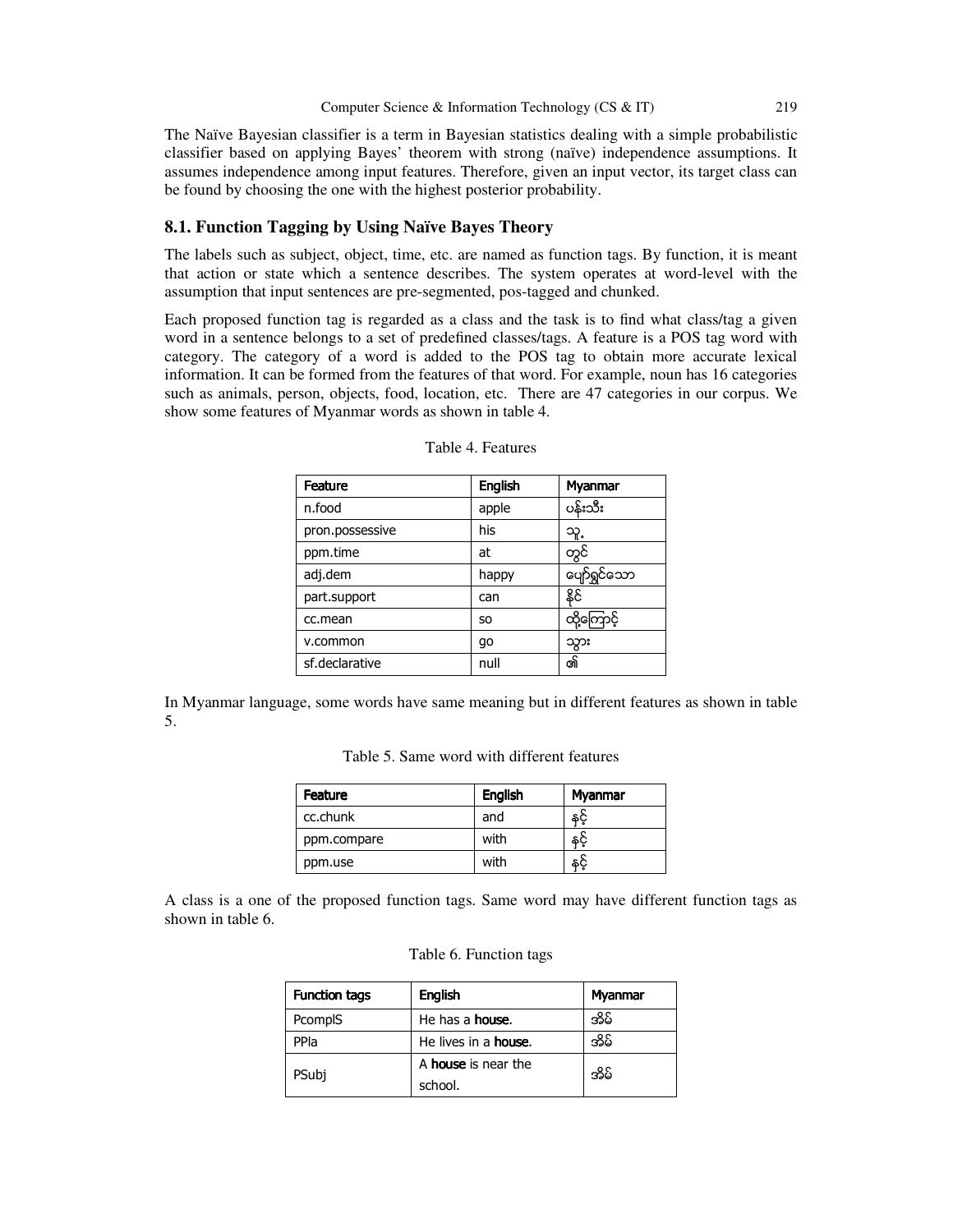The Naïve Bayesian classifier is a term in Bayesian statistics dealing with a simple probabilistic classifier based on applying Bayes' theorem with strong (naïve) independence assumptions. It assumes independence among input features. Therefore, given an input vector, its target class can be found by choosing the one with the highest posterior probability.

#### **8.1. Function Tagging by Using Naïve Bayes Theory**

The labels such as subject, object, time, etc. are named as function tags. By function, it is meant that action or state which a sentence describes. The system operates at word-level with the assumption that input sentences are pre-segmented, pos-tagged and chunked.

Each proposed function tag is regarded as a class and the task is to find what class/tag a given word in a sentence belongs to a set of predefined classes/tags. A feature is a POS tag word with category. The category of a word is added to the POS tag to obtain more accurate lexical information. It can be formed from the features of that word. For example, noun has 16 categories such as animals, person, objects, food, location, etc. There are 47 categories in our corpus. We show some features of Myanmar words as shown in table 4.

| Feature         | <b>English</b> | <b>Myanmar</b>    |
|-----------------|----------------|-------------------|
| n.food          | apple          | ပန်းသီး           |
| pron.possessive | his            | သူ့               |
| ppm.time        | at             | တွင်              |
| adj.dem         | happy          | ပျော်ရွှင်သော     |
| part.support    | can            | နိုင်             |
| cc.mean         | S <sub>O</sub> | <u>ထို့ကြောင့</u> |
| v.common        | qo             | သွား              |
| sf.declarative  | null           | ၏                 |

| Table 4. Features |  |
|-------------------|--|
|-------------------|--|

In Myanmar language, some words have same meaning but in different features as shown in table 5.

| Table 5. Same word with different features |  |
|--------------------------------------------|--|
|--------------------------------------------|--|

| Feature     | <b>English</b> | Myanmar |
|-------------|----------------|---------|
| cc.chunk    | and            | \$Č     |
| ppm.compare | with           | နင့်    |
| ppm.use     | with           | နင့     |

A class is a one of the proposed function tags. Same word may have different function tags as shown in table 6.

|  | Table 6. Function tags |  |
|--|------------------------|--|
|--|------------------------|--|

| <b>Function tags</b> | <b>English</b>               | Myanmar |
|----------------------|------------------------------|---------|
| PcomplS              | He has a <b>house</b> .      | အိမ်    |
| PPla                 | He lives in a <b>house</b> . | యేడి    |
| PSubj                | A house is near the          | యేడి    |
|                      | school.                      |         |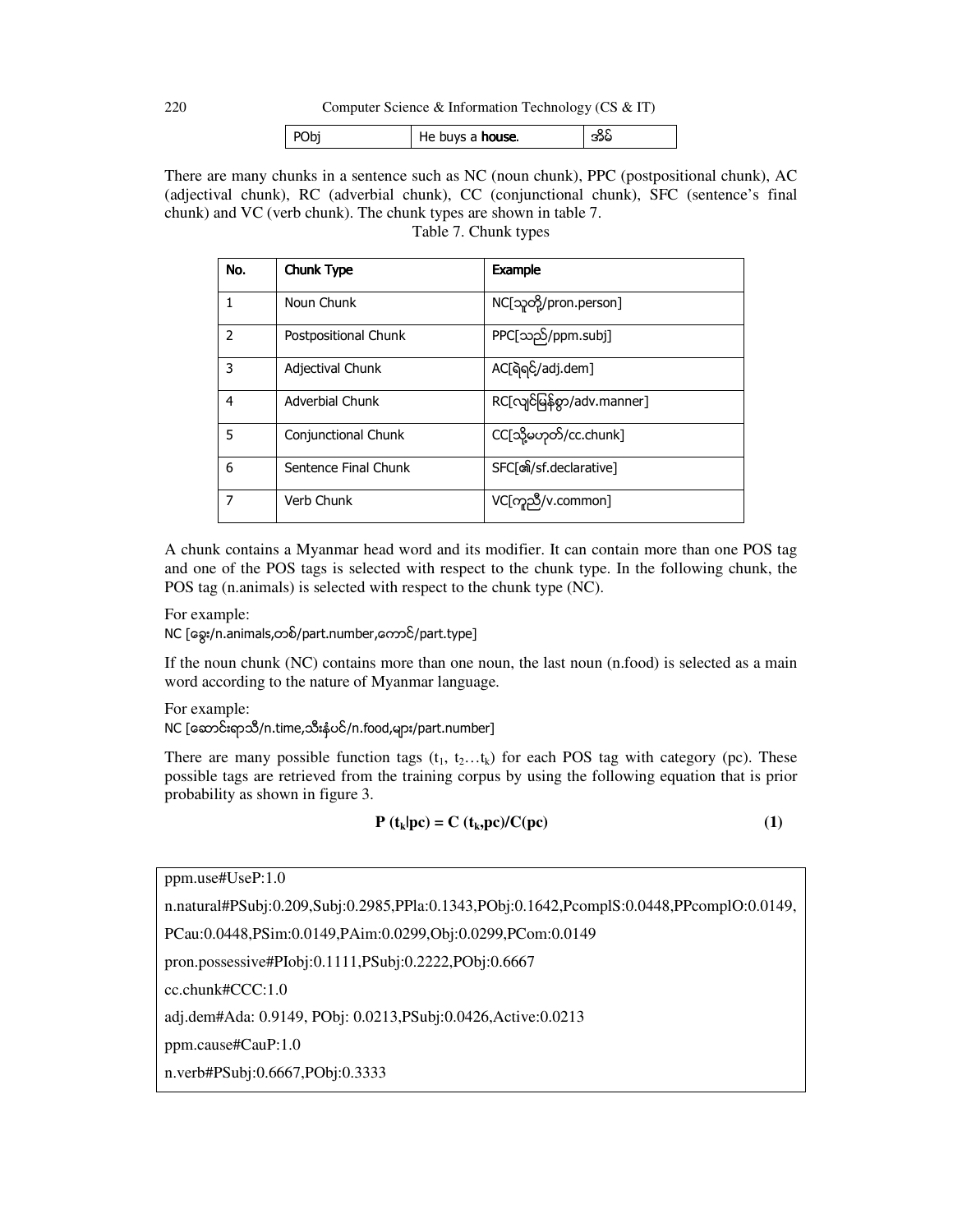220 Computer Science & Information Technology (CS & IT)

| PObj | He buys a <b>house</b> . | အမ |
|------|--------------------------|----|
|      |                          |    |

There are many chunks in a sentence such as NC (noun chunk), PPC (postpositional chunk), AC (adjectival chunk), RC (adverbial chunk), CC (conjunctional chunk), SFC (sentence's final chunk) and VC (verb chunk). The chunk types are shown in table 7.

| No.                      | Chunk Type             | <b>Example</b>             |
|--------------------------|------------------------|----------------------------|
| $\mathbf{1}$             | Noun Chunk             | NC[သူတို့/pron.person]     |
| $\overline{\phantom{0}}$ | Postpositional Chunk   | PPC[သည်/ppm.subj]          |
| 3                        | Adjectival Chunk       | AC[ရဲရင်/adj.dem]          |
| $\overline{4}$           | <b>Adverbial Chunk</b> | RC[လျင်မြန်စွာ/adv.manner] |
| .5                       | Conjunctional Chunk    | CC[သို့မဟုတ်/cc.chunk]     |
| 6                        | Sentence Final Chunk   | SFC[නි/sf.declarative]     |
| $\overline{7}$           | Verb Chunk             | VC[ကူညီ/v.common]          |

Table 7. Chunk types

A chunk contains a Myanmar head word and its modifier. It can contain more than one POS tag and one of the POS tags is selected with respect to the chunk type. In the following chunk, the POS tag (n.animals) is selected with respect to the chunk type (NC).

For example:

NC [ေခြး/n.animals,တစ္/part.number,ေကာင္/part.type]

If the noun chunk (NC) contains more than one noun, the last noun (n.food) is selected as a main word according to the nature of Myanmar language.

For example:

NC [ေဆာင်းရာသီ/n.time,သီးနံပင်/n.food,များ/part.number]

There are many possible function tags  $(t_1, t_2...t_k)$  for each POS tag with category (pc). These possible tags are retrieved from the training corpus by using the following equation that is prior probability as shown in figure 3.

$$
\mathbf{P}\left(\mathbf{t}_{k}|\mathbf{p}\mathbf{c}\right) = \mathbf{C}\left(\mathbf{t}_{k},\mathbf{p}\mathbf{c}\right)/\mathbf{C}(\mathbf{p}\mathbf{c})\tag{1}
$$

ppm.use#UseP:1.0

n.natural#PSubj:0.209,Subj:0.2985,PPla:0.1343,PObj:0.1642,PcomplS:0.0448,PPcomplO:0.0149,

PCau:0.0448,PSim:0.0149,PAim:0.0299,Obj:0.0299,PCom:0.0149

pron.possessive#PIobj:0.1111,PSubj:0.2222,PObj:0.6667

cc.chunk#CCC:1.0

adj.dem#Ada: 0.9149, PObj: 0.0213,PSubj:0.0426,Active:0.0213

ppm.cause#CauP:1.0

n.verb#PSubj:0.6667,PObj:0.3333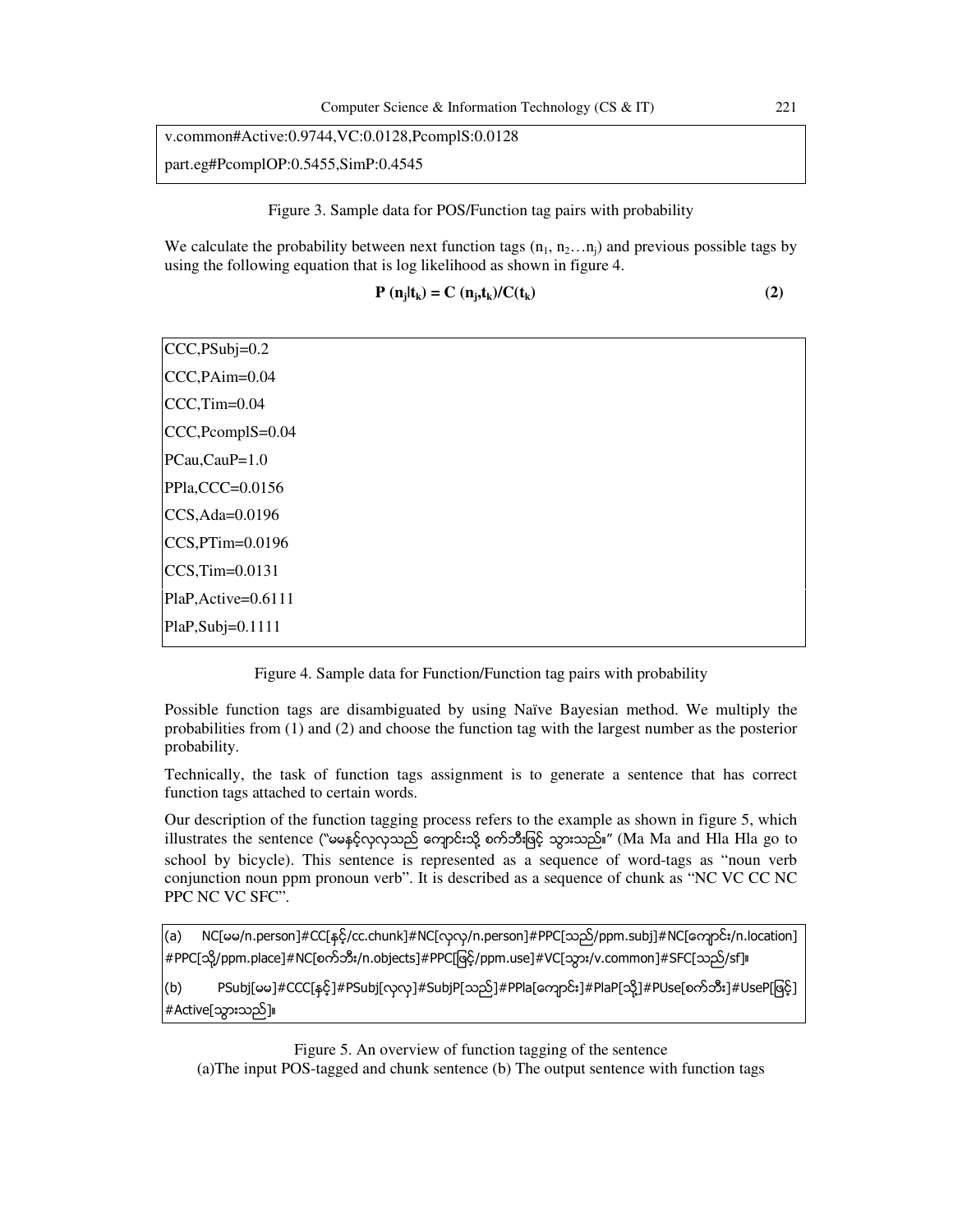# v.common#Active:0.9744,VC:0.0128,PcomplS:0.0128 part.eg#PcomplOP:0.5455,SimP:0.4545

Figure 3. Sample data for POS/Function tag pairs with probability

We calculate the probability between next function tags  $(n_1, n_2...n_i)$  and previous possible tags by using the following equation that is log likelihood as shown in figure 4.

$$
\mathbf{P}(\mathbf{n}_j|\mathbf{t}_k) = \mathbf{C}(\mathbf{n}_j, \mathbf{t}_k) / \mathbf{C}(\mathbf{t}_k)
$$
 (2)

CCC,PSubj=0.2 CCC,PAim=0.04 CCC,Tim=0.04 CCC,PcomplS=0.04 PCau,CauP=1.0 PPla,CCC=0.0156 CCS,Ada=0.0196 CCS,PTim=0.0196 CCS,Tim=0.0131 PlaP,Active=0.6111 PlaP,Subj=0.1111

Figure 4. Sample data for Function/Function tag pairs with probability

Possible function tags are disambiguated by using Naïve Bayesian method. We multiply the probabilities from (1) and (2) and choose the function tag with the largest number as the posterior probability.

Technically, the task of function tags assignment is to generate a sentence that has correct function tags attached to certain words.

Our description of the function tagging process refers to the example as shown in figure 5, which illustrates the sentence ("မမနှင့်လှလှသည် ကျောင်းသို့ စက်ဘီးဖြင့် သွားသည်။" (Ma Ma and Hla Hla go to school by bicycle). This sentence is represented as a sequence of word-tags as "noun verb conjunction noun ppm pronoun verb". It is described as a sequence of chunk as "NC VC CC NC PPC NC VC SFC".

(a) NC[မမ/n.person]#CC[နှင့်/cc.chunk]#NC[လုလု/n.person]#PPC[သည်/ppm.subj]#NC[ကျောင်း/n.location] #PPC[သို႔/ppm.place]#NC[စက္ဘီး/n.objects]#PPC[ျဖင့္/ppm.use]#VC[သြား/v.common]#SFC[သည္/sf]။

(b) PSubj[မမ]#CCC[နှင့်]#PSubj[လုလု]#SubjP[သည်]#PPla[ကျောင်း]#PlaP[သို့]#PUse[စက်ဘီး]#UseP[ဖြင့်] #Active[သြားသည္]။

Figure 5. An overview of function tagging of the sentence (a)The input POS-tagged and chunk sentence (b) The output sentence with function tags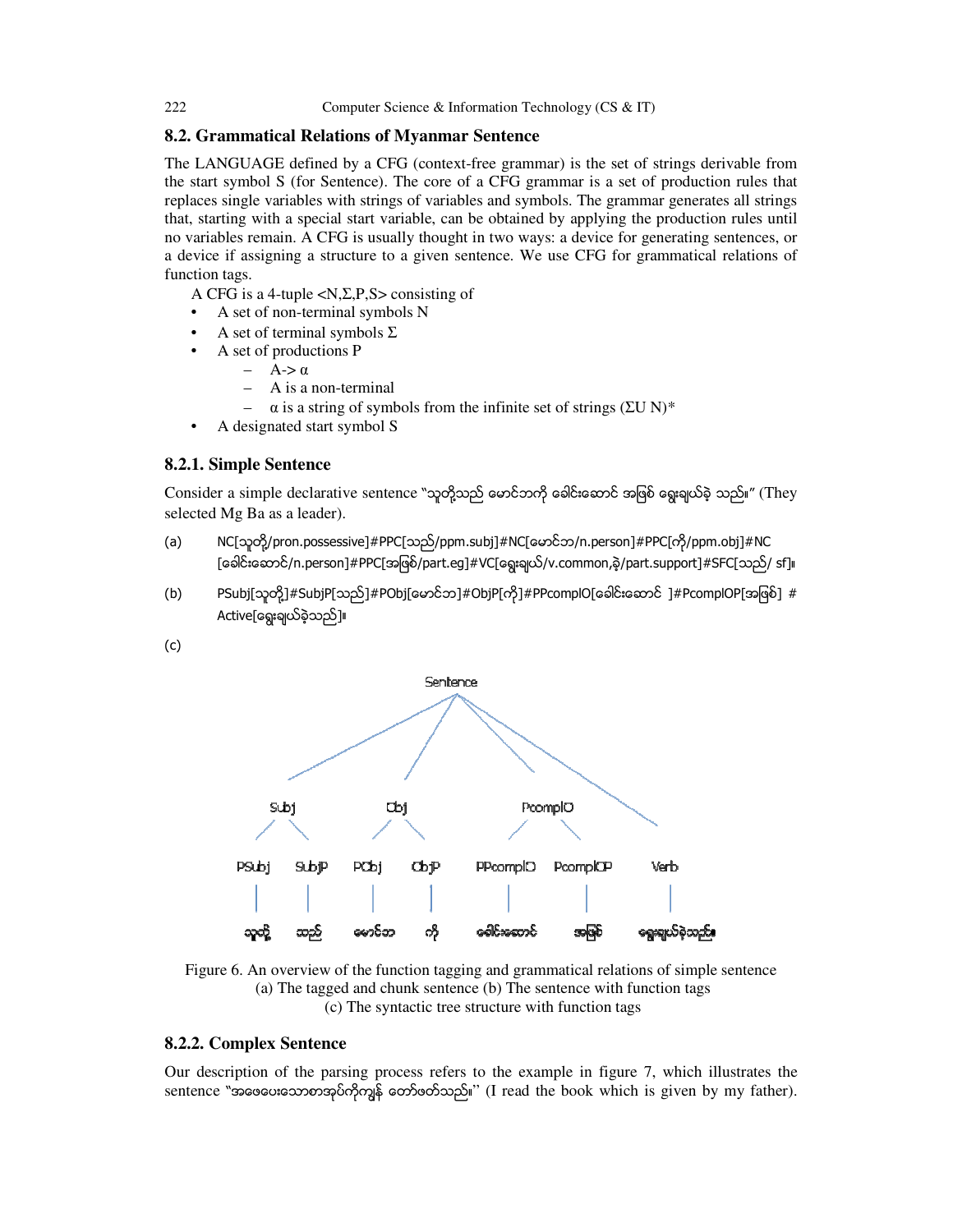## **8.2. Grammatical Relations of Myanmar Sentence**

The LANGUAGE defined by a CFG (context-free grammar) is the set of strings derivable from the start symbol S (for Sentence). The core of a CFG grammar is a set of production rules that replaces single variables with strings of variables and symbols. The grammar generates all strings that, starting with a special start variable, can be obtained by applying the production rules until no variables remain. A CFG is usually thought in two ways: a device for generating sentences, or a device if assigning a structure to a given sentence. We use CFG for grammatical relations of function tags.

A CFG is a 4-tuple <N,Σ,P,S> consisting of

- A set of non-terminal symbols N
- A set of terminal symbols  $\Sigma$
- A set of productions P
	- $A$ ->  $\alpha$
	- A is a non-terminal
	- $\alpha$  is a string of symbols from the infinite set of strings (ΣU N)<sup>\*</sup>
- A designated start symbol S

#### **8.2.1. Simple Sentence**

Consider a simple declarative sentence "သူတို့သည် မောင်ဘကို ခေါင်းဆောင် အဖြစ် ရွေးချယ်ခဲ့ သည်။" (They selected Mg Ba as a leader).

- (a) NC[သူတို႔/pron.possessive]#PPC[သည္/ppm.subj]#NC[ေမာင္ဘ/n.person]#PPC[ကို/ppm.obj]#NC [ေခါင္းေဆာင္/n.person]#PPC[အျဖစ္/part.eg]#VC[ေရြးခ်ယ္/v.common,ခဲ့/part.support]#SFC[သည္/ sf]။
- (b) PSubj[သူတို့]#SubjP[သည်]#PObj[ေမာင်ဘ]#ObjP[ကို]#PPcomplO[ေခါင်းဆောင် ]#PcomplOP[အဖြစ်] # Active[ဈေးချယ်ခဲ့သည်]။
- (c)



Figure 6. An overview of the function tagging and grammatical relations of simple sentence (a) The tagged and chunk sentence (b) The sentence with function tags (c) The syntactic tree structure with function tags

## **8.2.2. Complex Sentence**

Our description of the parsing process refers to the example in figure 7, which illustrates the sentence "အဖေပေးသောစာအုပ်ကိုကျွန် တော်ဖတ်သည်။" (I read the book which is given by my father).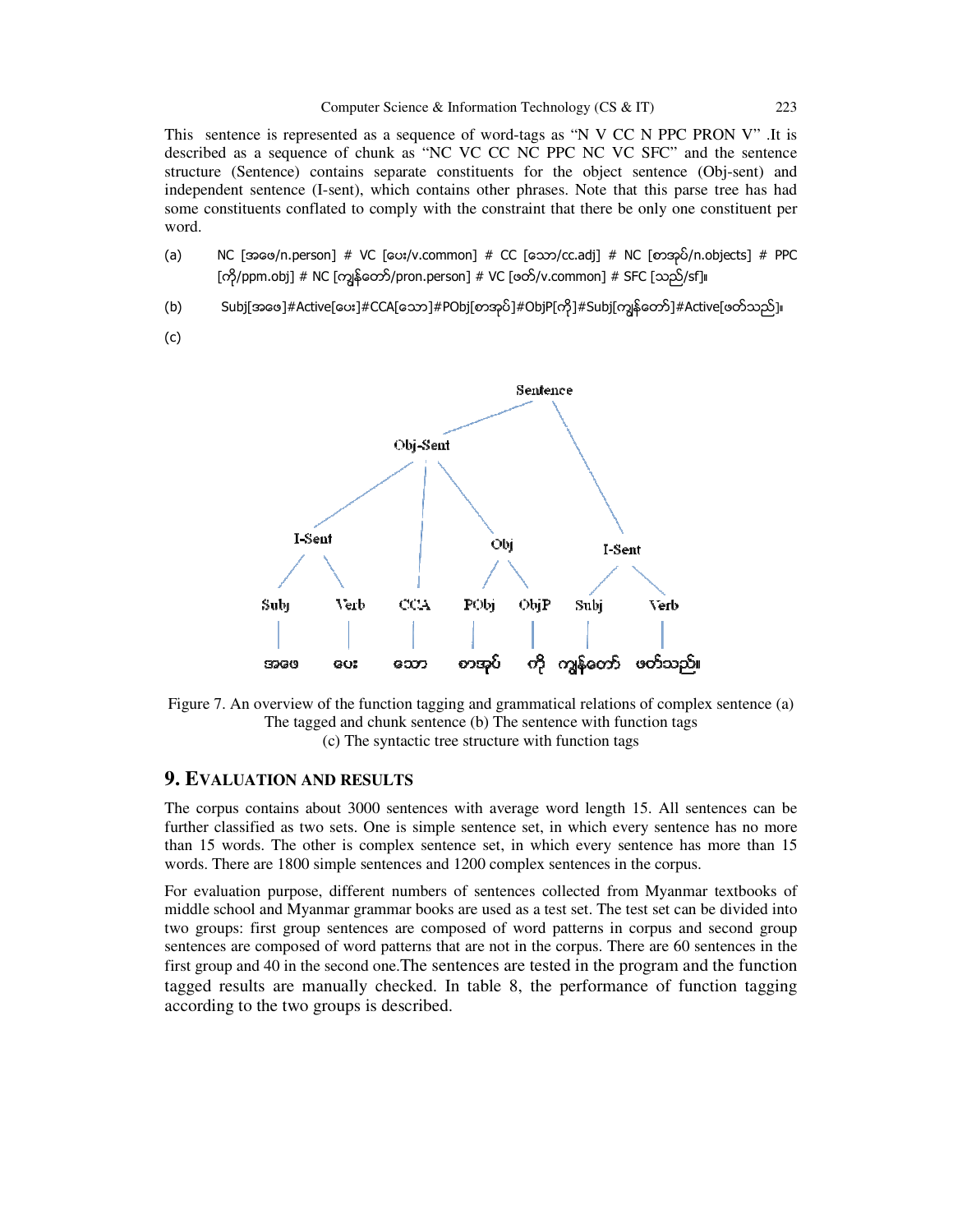This sentence is represented as a sequence of word-tags as "N V CC N PPC PRON V" .It is described as a sequence of chunk as "NC VC CC NC PPC NC VC SFC" and the sentence structure (Sentence) contains separate constituents for the object sentence (Obj-sent) and independent sentence (I-sent), which contains other phrases. Note that this parse tree has had some constituents conflated to comply with the constraint that there be only one constituent per word.

- (a) NC [အေဖ/n.person] # VC [ေပး/v.common] # CC [ေသာ/cc.adj] # NC [စာအုပ္/n.objects] # PPC [ကို/ppm.obj] # NC [ကျွန်တော်/pron.person] # VC [ဖတ်/v.common] # SFC [သည်/sf]။
- (b) Subj[အဖေ]#Active[ပေး]#CCA[သော]#PObj[စာအုပ်]#ObjP[ကို]#Subj[ကျွန်တော်]#Active[ဖတ်သည်]။
- (c)



Figure 7. An overview of the function tagging and grammatical relations of complex sentence (a) The tagged and chunk sentence (b) The sentence with function tags (c) The syntactic tree structure with function tags

## **9. EVALUATION AND RESULTS**

The corpus contains about 3000 sentences with average word length 15. All sentences can be further classified as two sets. One is simple sentence set, in which every sentence has no more than 15 words. The other is complex sentence set, in which every sentence has more than 15 words. There are 1800 simple sentences and 1200 complex sentences in the corpus.

For evaluation purpose, different numbers of sentences collected from Myanmar textbooks of middle school and Myanmar grammar books are used as a test set. The test set can be divided into two groups: first group sentences are composed of word patterns in corpus and second group sentences are composed of word patterns that are not in the corpus. There are 60 sentences in the first group and 40 in the second one.The sentences are tested in the program and the function tagged results are manually checked. In table 8, the performance of function tagging according to the two groups is described.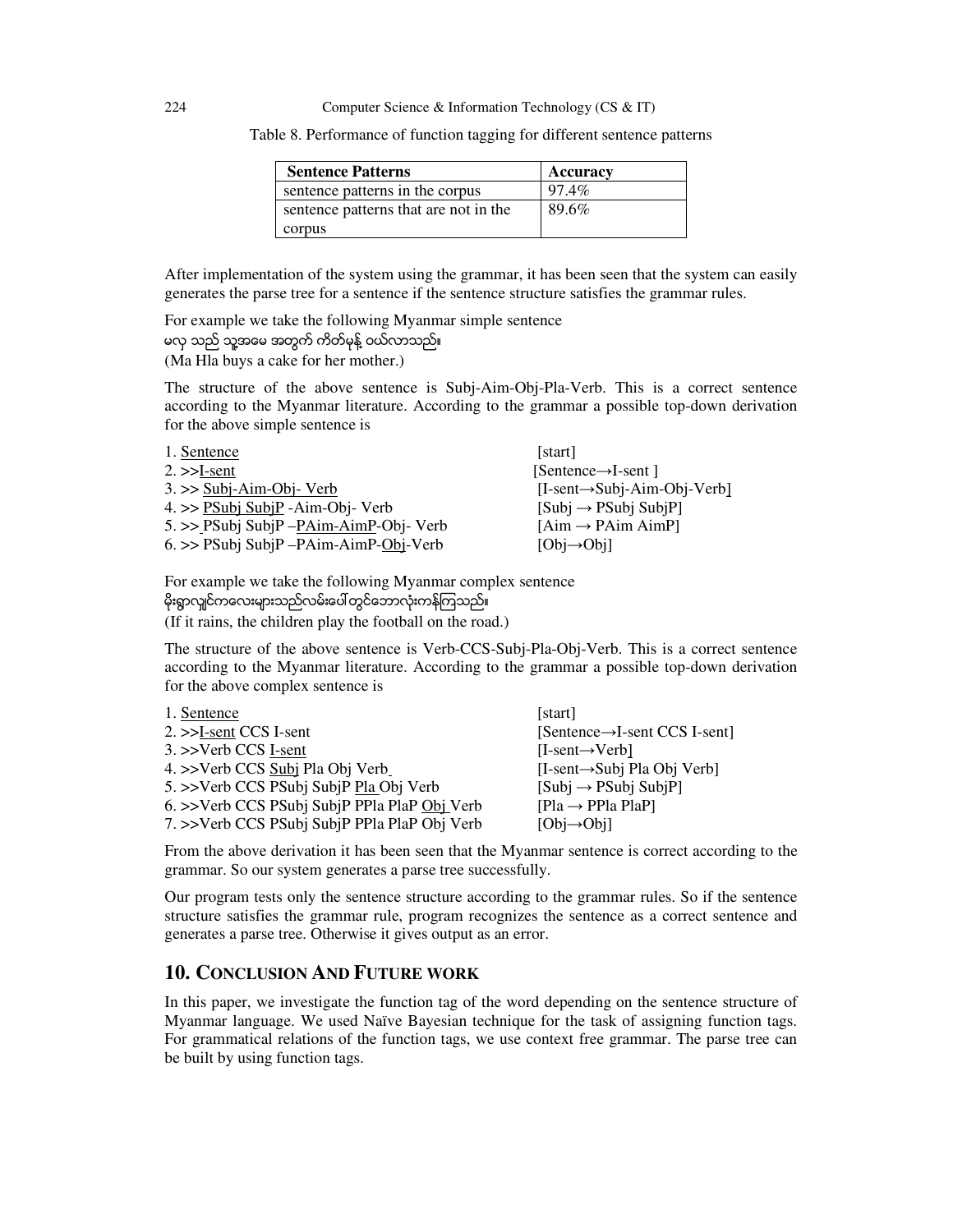Table 8. Performance of function tagging for different sentence patterns

| <b>Sentence Patterns</b>              | Accuracy |
|---------------------------------------|----------|
| sentence patterns in the corpus       | 97.4%    |
| sentence patterns that are not in the | 89.6%    |
| corpus                                |          |

After implementation of the system using the grammar, it has been seen that the system can easily generates the parse tree for a sentence if the sentence structure satisfies the grammar rules.

For example we take the following Myanmar simple sentence မလွ သည္ သူ႔အေမ အတြက္ ကိတ္မုန္႔ ဝယ္လာသည္။ (Ma Hla buys a cake for her mother.)

The structure of the above sentence is Subj-Aim-Obj-Pla-Verb. This is a correct sentence according to the Myanmar literature. According to the grammar a possible top-down derivation for the above simple sentence is

| 1. Sentence                                | [start]                                  |
|--------------------------------------------|------------------------------------------|
| $2 \rightarrow$ -S-Sent                    | $[{Sentence}\rightarrow{I-sent}]$        |
| $3. \gg$ Subj-Aim-Obj- Verb                | $[I-sent \rightarrow Subi-Aim-Obi-Verb]$ |
| $4.$ >> PSubj SubjP -Aim-Obj- Verb         | $[Subi \rightarrow PSubi SubiP]$         |
| $5. \gg$ PSubj SubjP - PAim-AimP-Obj- Verb | $[Aim \rightarrow PAim AimP]$            |
| $6.$ >> PSubj SubjP $-PAim-AimP-Obj-Verb$  | $[Obj \rightarrow Obil]$                 |

For example we take the following Myanmar complex sentence မိုးရွာလျှင်ကလေးများသည်လမ်းပေါ်တွင်ဘောလုံးကန်ကြသည်။ (If it rains, the children play the football on the road.)

The structure of the above sentence is Verb-CCS-Subj-Pla-Obj-Verb. This is a correct sentence according to the Myanmar literature. According to the grammar a possible top-down derivation for the above complex sentence is

| 1. Sentence                                  | [start]                                      |
|----------------------------------------------|----------------------------------------------|
| $2.$ $>>$ I-sent CCS I-sent                  | $[{Sentence}\rightarrow{I-sent CCS I-sent}]$ |
| $3.$ $>>$ Verb CCS I-sent                    | $[I-sent \rightarrow Verb]$                  |
| 4. >>Verb CCS Subj Pla Obj Verb              | $[I-sent \rightarrow Subj Pla Obj Verb]$     |
| 5. >>Verb CCS PSubj SubjP Pla Obj Verb       | $[Sub] \rightarrow PSubj SubjPl$             |
| 6. >>Verb CCS PSubj SubjP PPla PlaP Obj Verb | $[Pla \rightarrow PP1a PlaP]$                |
| 7. >>Verb CCS PSubj SubjP PPla PlaP Obj Verb | $[Obj\rightarrow Obi]$                       |

From the above derivation it has been seen that the Myanmar sentence is correct according to the grammar. So our system generates a parse tree successfully.

Our program tests only the sentence structure according to the grammar rules. So if the sentence structure satisfies the grammar rule, program recognizes the sentence as a correct sentence and generates a parse tree. Otherwise it gives output as an error.

## **10. CONCLUSION AND FUTURE WORK**

In this paper, we investigate the function tag of the word depending on the sentence structure of Myanmar language. We used Naïve Bayesian technique for the task of assigning function tags. For grammatical relations of the function tags, we use context free grammar. The parse tree can be built by using function tags.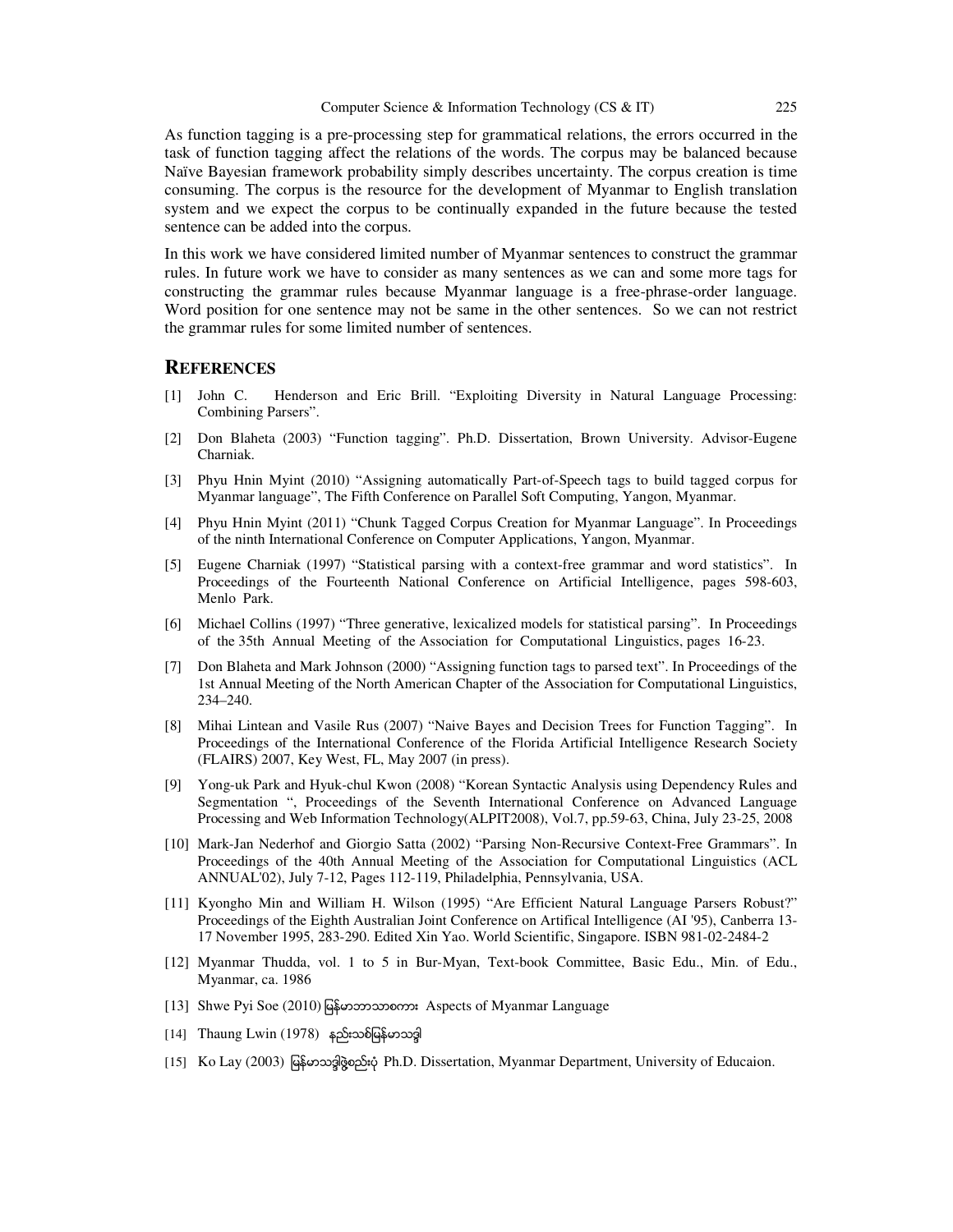As function tagging is a pre-processing step for grammatical relations, the errors occurred in the task of function tagging affect the relations of the words. The corpus may be balanced because Naïve Bayesian framework probability simply describes uncertainty. The corpus creation is time consuming. The corpus is the resource for the development of Myanmar to English translation system and we expect the corpus to be continually expanded in the future because the tested sentence can be added into the corpus.

In this work we have considered limited number of Myanmar sentences to construct the grammar rules. In future work we have to consider as many sentences as we can and some more tags for constructing the grammar rules because Myanmar language is a free-phrase-order language. Word position for one sentence may not be same in the other sentences. So we can not restrict the grammar rules for some limited number of sentences.

#### **REFERENCES**

- [1] John C. Henderson and Eric Brill. "Exploiting Diversity in Natural Language Processing: Combining Parsers".
- [2] Don Blaheta (2003) "Function tagging". Ph.D. Dissertation, Brown University. Advisor-Eugene Charniak.
- [3] Phyu Hnin Myint (2010) "Assigning automatically Part-of-Speech tags to build tagged corpus for Myanmar language", The Fifth Conference on Parallel Soft Computing, Yangon, Myanmar.
- [4] Phyu Hnin Myint (2011) "Chunk Tagged Corpus Creation for Myanmar Language". In Proceedings of the ninth International Conference on Computer Applications, Yangon, Myanmar.
- [5] Eugene Charniak (1997) "Statistical parsing with a context-free grammar and word statistics". In Proceedings of the Fourteenth National Conference on Artificial Intelligence, pages 598-603, Menlo Park.
- [6] Michael Collins (1997) "Three generative, lexicalized models for statistical parsing". In Proceedings of the 35th Annual Meeting of the Association for Computational Linguistics, pages 16-23.
- [7] Don Blaheta and Mark Johnson (2000) "Assigning function tags to parsed text". In Proceedings of the 1st Annual Meeting of the North American Chapter of the Association for Computational Linguistics, 234–240.
- [8] Mihai Lintean and Vasile Rus (2007) "Naive Bayes and Decision Trees for Function Tagging". In Proceedings of the International Conference of the Florida Artificial Intelligence Research Society (FLAIRS) 2007, Key West, FL, May 2007 (in press).
- [9] Yong-uk Park and Hyuk-chul Kwon (2008) "Korean Syntactic Analysis using Dependency Rules and Segmentation ", Proceedings of the Seventh International Conference on Advanced Language Processing and Web Information Technology(ALPIT2008), Vol.7, pp.59-63, China, July 23-25, 2008
- [10] Mark-Jan Nederhof and Giorgio Satta (2002) "Parsing Non-Recursive Context-Free Grammars". In Proceedings of the 40th Annual Meeting of the Association for Computational Linguistics (ACL ANNUAL'02), July 7-12, Pages 112-119, Philadelphia, Pennsylvania, USA.
- [11] Kyongho Min and William H. Wilson (1995) "Are Efficient Natural Language Parsers Robust?" Proceedings of the Eighth Australian Joint Conference on Artifical Intelligence (AI '95), Canberra 13- 17 November 1995, 283-290. Edited Xin Yao. World Scientific, Singapore. ISBN 981-02-2484-2
- [12] Myanmar Thudda, vol. 1 to 5 in Bur-Myan, Text-book Committee, Basic Edu., Min. of Edu., Myanmar, ca. 1986
- [13] Shwe Pyi Soe (2010) ျမန္မာဘာသာစကား Aspects of Myanmar Language
- $[14]$  Thaung Lwin (1978) နည်းသစ်မြန်မာသဒ္ဒါ
- [15] Ko Lay (2003) မြန်မာသဒ္ဒါဖွဲ့စည်းပုံ Ph.D. Dissertation, Myanmar Department, University of Educaion.